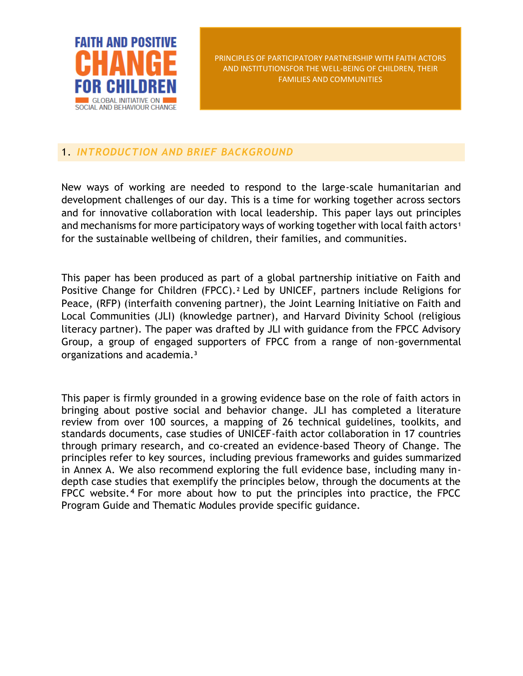

## 1. *INTRODUCTION AND BRIEF BACKGROUND*

New ways of working are needed to respond to the large-scale humanitarian and development challenges of our day. This is a time for working together across sectors and for innovative collaboration with local leadership. This paper lays out principles and mechanisms for more participatory ways of working together with local faith actors**<sup>1</sup>** for the sustainable wellbeing of children, their families, and communities.

This paper has been produced as part of a global partnership initiative on Faith and Positive Change for Children (FPCC).**<sup>2</sup>** Led by UNICEF, partners include Religions for Peace, (RFP) (interfaith convening partner), the Joint Learning Initiative on Faith and Local Communities (JLI) (knowledge partner), and Harvard Divinity School (religious literacy partner). The paper was drafted by JLI with guidance from the FPCC Advisory Group, a group of engaged supporters of FPCC from a range of non-governmental organizations and academia.**<sup>3</sup>**

This paper is firmly grounded in a growing evidence base on the role of faith actors in bringing about postive social and behavior change. JLI has completed a literature review from over 100 sources, a mapping of 26 technical guidelines, toolkits, and standards documents, case studies of UNICEF-faith actor collaboration in 17 countries through primary research, and co-created an evidence-based Theory of Change. The principles refer to key sources, including previous frameworks and guides summarized in Annex A. We also recommend exploring the full evidence base, including many indepth case studies that exemplify the principles below, through the documents at the FPCC website.**<sup>4</sup>** For more about how to put the principles into practice, the FPCC Program Guide and Thematic Modules provide specific guidance.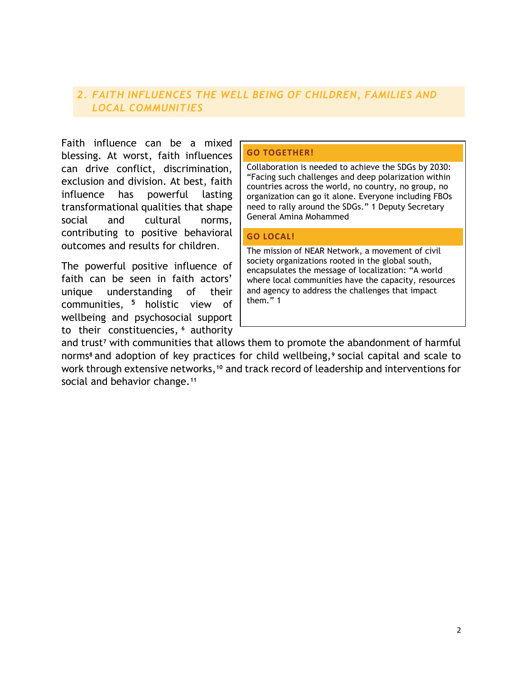## *2. FAITH INFLUENCES THE WELL BEING OF CHILDREN, FAMILIES AND LOCAL COMMUNITIES*

Faith influence can be a mixed blessing. At worst, faith influences can drive conflict, discrimination, exclusion and division. At best, faith influence has powerful lasting transformational qualities that shape social and cultural norms, contributing to positive behavioral outcomes and results for children.

The powerful positive influence of faith can be seen in faith actors' unique understanding of their communities, **<sup>5</sup>** holistic view of wellbeing and psychosocial support to their constituencies, **<sup>6</sup>** authority

#### **GO TOGETHER!**

Collaboration is needed to achieve the SDGs by 2030: "Facing such challenges and deep polarization within countries across the world, no country, no group, no organization can go it alone. Everyone including FBOs need to rally around the SDGs." 1 Deputy Secretary General Amina Mohammed

#### **GO LOCAL!**

The mission of NEAR Network, a movement of civil society organizations rooted in the global south, encapsulates the message of localization: "A world where local communities have the capacity, resources and agency to address the challenges that impact them." 1

and trust**<sup>7</sup>** with communities that allows them to promote the abandonment of harmful norms**<sup>8</sup>** and adoption of key practices for child wellbeing,**<sup>9</sup>** social capital and scale to work through extensive networks,**<sup>10</sup>** and track record of leadership and interventions for social and behavior change.**<sup>11</sup>**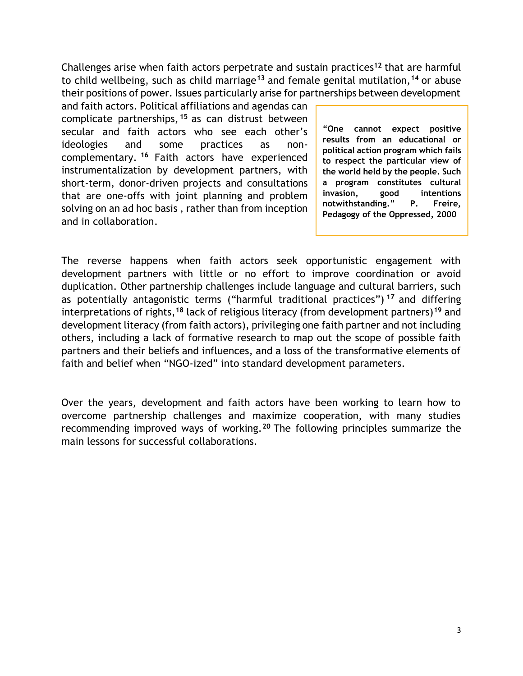Challenges arise when faith actors perpetrate and sustain practices**<sup>12</sup>** that are harmful to child wellbeing, such as child marriage**<sup>13</sup>** and female genital mutilation,**<sup>14</sup>** or abuse their positions of power. Issues particularly arise for partnerships between development

and faith actors. Political affiliations and agendas can complicate partnerships, **<sup>15</sup>** as can distrust between secular and faith actors who see each other's ideologies and some practices as noncomplementary. **<sup>16</sup>** Faith actors have experienced instrumentalization by development partners, with short-term, donor-driven projects and consultations that are one-offs with joint planning and problem solving on an ad hoc basis , rather than from inception and in collaboration.

**"One cannot expect positive results from an educational or political action program which fails to respect the particular view of the world held by the people. Such a program constitutes cultural invasion, good intentions notwithstanding." P. Freire, Pedagogy of the Oppressed, 2000**

The reverse happens when faith actors seek opportunistic engagement with development partners with little or no effort to improve coordination or avoid duplication. Other partnership challenges include language and cultural barriers, such as potentially antagonistic terms ("harmful traditional practices") **<sup>17</sup>** and differing interpretations of rights,**<sup>18</sup>** lack of religious literacy (from development partners)**<sup>19</sup>** and development literacy (from faith actors), privileging one faith partner and not including others, including a lack of formative research to map out the scope of possible faith partners and their beliefs and influences, and a loss of the transformative elements of faith and belief when "NGO-ized" into standard development parameters.

Over the years, development and faith actors have been working to learn how to overcome partnership challenges and maximize cooperation, with many studies recommending improved ways of working.**<sup>20</sup>** The following principles summarize the main lessons for successful collaborations.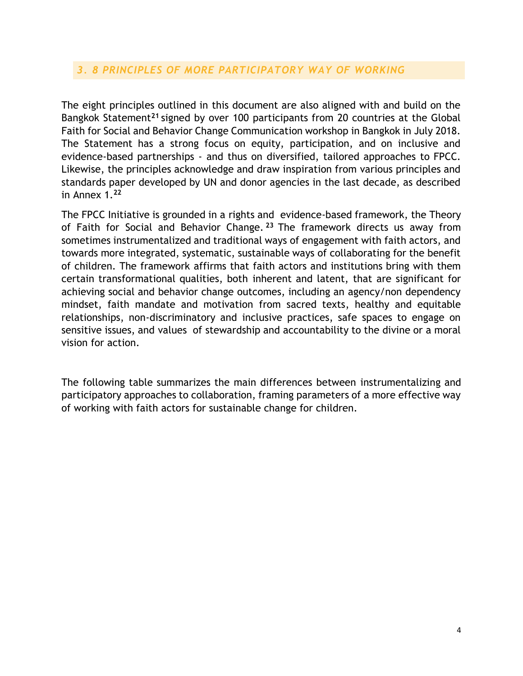## *3. 8 PRINCIPLES OF MORE PARTICIPATORY WAY OF WORKING*

The eight principles outlined in this document are also aligned with and build on the Bangkok Statement**<sup>21</sup>** signed by over 100 participants from 20 countries at the Global Faith for Social and Behavior Change Communication workshop in Bangkok in July 2018. The Statement has a strong focus on equity, participation, and on inclusive and evidence-based partnerships - and thus on diversified, tailored approaches to FPCC. Likewise, the principles acknowledge and draw inspiration from various principles and standards paper developed by UN and donor agencies in the last decade, as described in Annex 1.**<sup>22</sup>**

The FPCC Initiative is grounded in a rights and evidence-based framework, the Theory of Faith for Social and Behavior Change. **<sup>23</sup>** The framework directs us away from sometimes instrumentalized and traditional ways of engagement with faith actors, and towards more integrated, systematic, sustainable ways of collaborating for the benefit of children. The framework affirms that faith actors and institutions bring with them certain transformational qualities, both inherent and latent, that are significant for achieving social and behavior change outcomes, including an agency/non dependency mindset, faith mandate and motivation from sacred texts, healthy and equitable relationships, non-discriminatory and inclusive practices, safe spaces to engage on sensitive issues, and values of stewardship and accountability to the divine or a moral vision for action.

The following table summarizes the main differences between instrumentalizing and participatory approaches to collaboration, framing parameters of a more effective way of working with faith actors for sustainable change for children.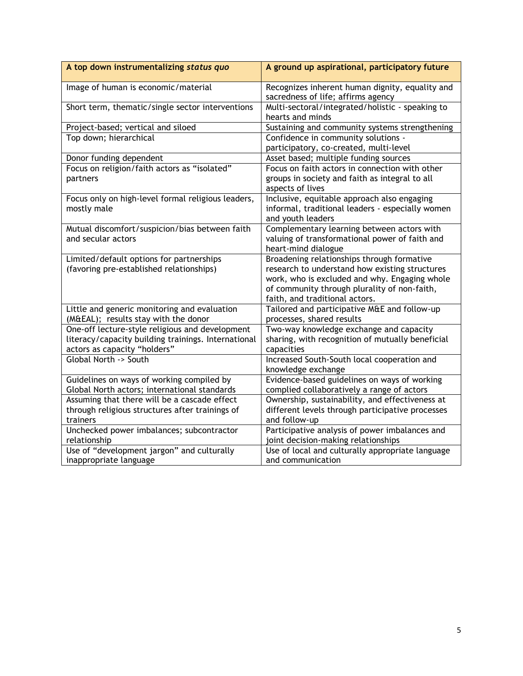| A top down instrumentalizing status quo                                                                                                | A ground up aspirational, participatory future                                                                                                                                                                                  |
|----------------------------------------------------------------------------------------------------------------------------------------|---------------------------------------------------------------------------------------------------------------------------------------------------------------------------------------------------------------------------------|
| Image of human is economic/material                                                                                                    | Recognizes inherent human dignity, equality and<br>sacredness of life; affirms agency                                                                                                                                           |
| Short term, thematic/single sector interventions                                                                                       | Multi-sectoral/integrated/holistic - speaking to<br>hearts and minds                                                                                                                                                            |
| Project-based; vertical and siloed                                                                                                     | Sustaining and community systems strengthening                                                                                                                                                                                  |
| Top down; hierarchical                                                                                                                 | Confidence in community solutions -<br>participatory, co-created, multi-level                                                                                                                                                   |
| Donor funding dependent                                                                                                                | Asset based; multiple funding sources                                                                                                                                                                                           |
| Focus on religion/faith actors as "isolated"<br>partners                                                                               | Focus on faith actors in connection with other<br>groups in society and faith as integral to all<br>aspects of lives                                                                                                            |
| Focus only on high-level formal religious leaders,<br>mostly male                                                                      | Inclusive, equitable approach also engaging<br>informal, traditional leaders - especially women<br>and youth leaders                                                                                                            |
| Mutual discomfort/suspicion/bias between faith<br>and secular actors                                                                   | Complementary learning between actors with<br>valuing of transformational power of faith and<br>heart-mind dialogue                                                                                                             |
| Limited/default options for partnerships<br>(favoring pre-established relationships)                                                   | Broadening relationships through formative<br>research to understand how existing structures<br>work, who is excluded and why. Engaging whole<br>of community through plurality of non-faith,<br>faith, and traditional actors. |
| Little and generic monitoring and evaluation<br>(M&EAL); results stay with the donor                                                   | Tailored and participative M&E and follow-up<br>processes, shared results                                                                                                                                                       |
| One-off lecture-style religious and development<br>literacy/capacity building trainings. International<br>actors as capacity "holders" | Two-way knowledge exchange and capacity<br>sharing, with recognition of mutually beneficial<br>capacities                                                                                                                       |
| Global North -> South                                                                                                                  | Increased South-South local cooperation and<br>knowledge exchange                                                                                                                                                               |
| Guidelines on ways of working compiled by<br>Global North actors; international standards                                              | Evidence-based guidelines on ways of working<br>complied collaboratively a range of actors                                                                                                                                      |
| Assuming that there will be a cascade effect<br>through religious structures after trainings of<br>trainers                            | Ownership, sustainability, and effectiveness at<br>different levels through participative processes<br>and follow-up                                                                                                            |
| Unchecked power imbalances; subcontractor<br>relationship                                                                              | Participative analysis of power imbalances and<br>joint decision-making relationships                                                                                                                                           |
| Use of "development jargon" and culturally<br>inappropriate language                                                                   | Use of local and culturally appropriate language<br>and communication                                                                                                                                                           |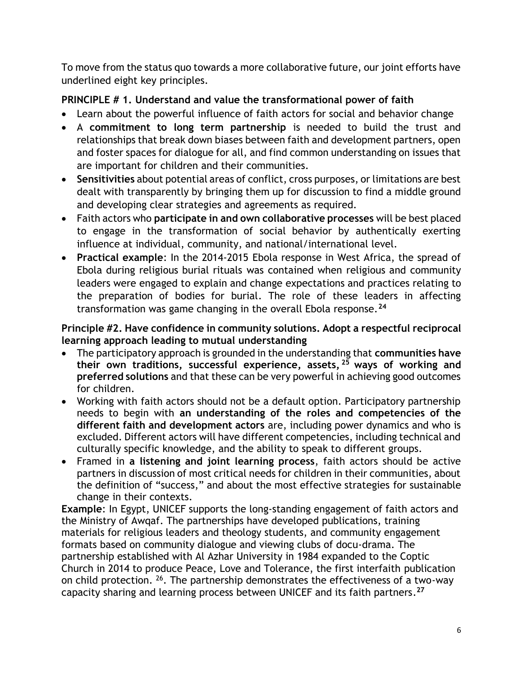To move from the status quo towards a more collaborative future, our joint efforts have underlined eight key principles.

# **PRINCIPLE # 1. Understand and value the transformational power of faith**

- Learn about the powerful influence of faith actors for social and behavior change
- A **commitment to long term partnership** is needed to build the trust and relationships that break down biases between faith and development partners, open and foster spaces for dialogue for all, and find common understanding on issues that are important for children and their communities.
- **Sensitivities** about potential areas of conflict, cross purposes, or limitations are best dealt with transparently by bringing them up for discussion to find a middle ground and developing clear strategies and agreements as required.
- Faith actors who **participate in and own collaborative processes** will be best placed to engage in the transformation of social behavior by authentically exerting influence at individual, community, and national/international level.
- **Practical example**: In the 2014-2015 Ebola response in West Africa, the spread of Ebola during religious burial rituals was contained when religious and community leaders were engaged to explain and change expectations and practices relating to the preparation of bodies for burial. The role of these leaders in affecting transformation was game changing in the overall Ebola response.**<sup>24</sup>**

## **Principle #2. Have confidence in community solutions. Adopt a respectful reciprocal learning approach leading to mutual understanding**

- The participatory approach is grounded in the understanding that **communities have their own traditions, successful experience, assets, <sup>25</sup> ways of working and preferred solutions** and that these can be very powerful in achieving good outcomes for children.
- Working with faith actors should not be a default option. Participatory partnership needs to begin with **an understanding of the roles and competencies of the different faith and development actors** are, including power dynamics and who is excluded. Different actors will have different competencies, including technical and culturally specific knowledge, and the ability to speak to different groups.
- Framed in **a listening and joint learning process**, faith actors should be active partners in discussion of most critical needs for children in their communities, about the definition of "success," and about the most effective strategies for sustainable change in their contexts.

**Example**: In Egypt, UNICEF supports the long-standing engagement of faith actors and the Ministry of Awqaf. The partnerships have developed publications, training materials for religious leaders and theology students, and community engagement formats based on community dialogue and viewing clubs of docu-drama. The partnership established with Al Azhar University in 1984 expanded to the Coptic Church in 2014 to produce Peace, Love and Tolerance, the first interfaith publication on child protection. <sup>26</sup>. The partnership demonstrates the effectiveness of a two-way capacity sharing and learning process between UNICEF and its faith partners. **27**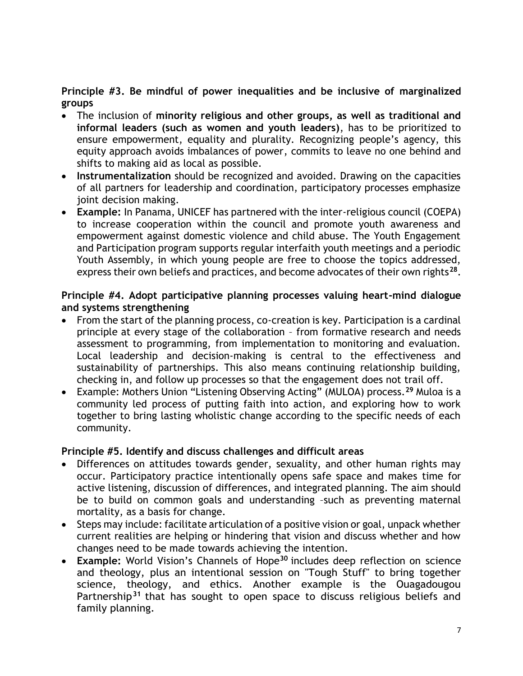## **Principle #3. Be mindful of power inequalities and be inclusive of marginalized groups**

- The inclusion of **minority religious and other groups, as well as traditional and informal leaders (such as women and youth leaders)**, has to be prioritized to ensure empowerment, equality and plurality. Recognizing people's agency, this equity approach avoids imbalances of power, commits to leave no one behind and shifts to making aid as local as possible.
- **Instrumentalization** should be recognized and avoided. Drawing on the capacities of all partners for leadership and coordination, participatory processes emphasize joint decision making.
- **Example:** In Panama, UNICEF has partnered with the inter-religious council (COEPA) to increase cooperation within the council and promote youth awareness and empowerment against domestic violence and child abuse. The Youth Engagement and Participation program supports regular interfaith youth meetings and a periodic Youth Assembly, in which young people are free to choose the topics addressed, express their own beliefs and practices, and become advocates of their own rights**<sup>28</sup>** .

#### **Principle #4. Adopt participative planning processes valuing heart-mind dialogue and systems strengthening**

- From the start of the planning process, co-creation is key. Participation is a cardinal principle at every stage of the collaboration – from formative research and needs assessment to programming, from implementation to monitoring and evaluation. Local leadership and decision-making is central to the effectiveness and sustainability of partnerships. This also means continuing relationship building, checking in, and follow up processes so that the engagement does not trail off.
- Example: Mothers Union "Listening Observing Acting" (MULOA) process.**<sup>29</sup>** Muloa is a community led process of putting faith into action, and exploring how to work together to bring lasting wholistic change according to the specific needs of each community.

## **Principle #5. Identify and discuss challenges and difficult areas**

- Differences on attitudes towards gender, sexuality, and other human rights may occur. Participatory practice intentionally opens safe space and makes time for active listening, discussion of differences, and integrated planning. The aim should be to build on common goals and understanding –such as preventing maternal mortality, as a basis for change.
- Steps may include: facilitate articulation of a positive vision or goal, unpack whether current realities are helping or hindering that vision and discuss whether and how changes need to be made towards achieving the intention.
- **Example:** World Vision's Channels of Hope**<sup>30</sup>** includes deep reflection on science and theology, plus an intentional session on "Tough Stuff" to bring together science, theology, and ethics. Another example is the Ouagadougou Partnership**<sup>31</sup>** that has sought to open space to discuss religious beliefs and family planning.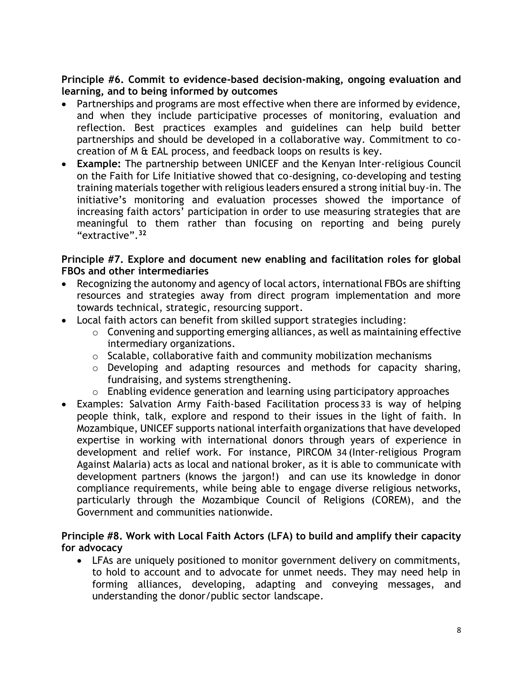#### **Principle #6. Commit to evidence-based decision-making, ongoing evaluation and learning, and to being informed by outcomes**

- Partnerships and programs are most effective when there are informed by evidence, and when they include participative processes of monitoring, evaluation and reflection. Best practices examples and guidelines can help build better partnerships and should be developed in a collaborative way. Commitment to cocreation of M & EAL process, and feedback loops on results is key.
- **Example:** The partnership between UNICEF and the Kenyan Inter-religious Council on the Faith for Life Initiative showed that co-designing, co-developing and testing training materials together with religious leaders ensured a strong initial buy-in. The initiative's monitoring and evaluation processes showed the importance of increasing faith actors' participation in order to use measuring strategies that are meaningful to them rather than focusing on reporting and being purely "extractive".**<sup>32</sup>**

#### **Principle #7. Explore and document new enabling and facilitation roles for global FBOs and other intermediaries**

- Recognizing the autonomy and agency of local actors, international FBOs are shifting resources and strategies away from direct program implementation and more towards technical, strategic, resourcing support.
- Local faith actors can benefit from skilled support strategies including:
	- $\circ$  Convening and supporting emerging alliances, as well as maintaining effective intermediary organizations.
	- o Scalable, collaborative faith and community mobilization mechanisms
	- o Developing and adapting resources and methods for capacity sharing, fundraising, and systems strengthening.
	- o Enabling evidence generation and learning using participatory approaches
- Examples: Salvation Army Faith-based Facilitation process 33 is way of helping people think, talk, explore and respond to their issues in the light of faith. In Mozambique, UNICEF supports national interfaith organizations that have developed expertise in working with international donors through years of experience in development and relief work. For instance, PIRCOM 34 (Inter-religious Program Against Malaria) acts as local and national broker, as it is able to communicate with development partners (knows the jargon!) and can use its knowledge in donor compliance requirements, while being able to engage diverse religious networks, particularly through the Mozambique Council of Religions (COREM), and the Government and communities nationwide.

#### **Principle #8. Work with Local Faith Actors (LFA) to build and amplify their capacity for advocacy**

• LFAs are uniquely positioned to monitor government delivery on commitments, to hold to account and to advocate for unmet needs. They may need help in forming alliances, developing, adapting and conveying messages, and understanding the donor/public sector landscape.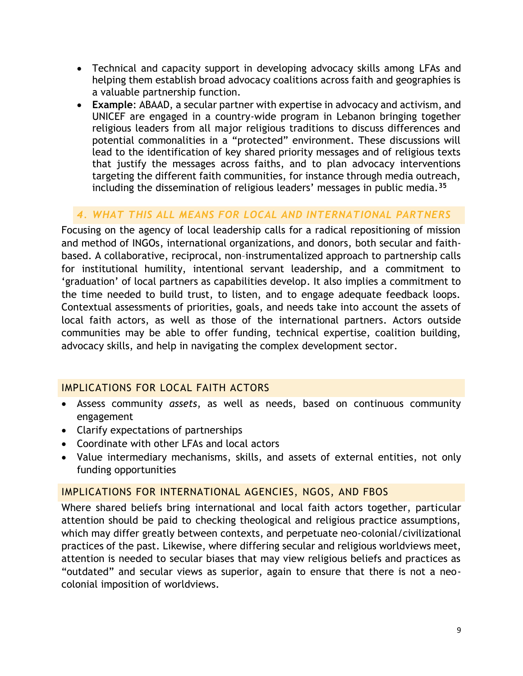- Technical and capacity support in developing advocacy skills among LFAs and helping them establish broad advocacy coalitions across faith and geographies is a valuable partnership function.
- **Example**: ABAAD, a secular partner with expertise in advocacy and activism, and UNICEF are engaged in a country-wide program in Lebanon bringing together religious leaders from all major religious traditions to discuss differences and potential commonalities in a "protected" environment. These discussions will lead to the identification of key shared priority messages and of religious texts that justify the messages across faiths, and to plan advocacy interventions targeting the different faith communities, for instance through media outreach, including the dissemination of religious leaders' messages in public media.**<sup>35</sup>**

# *4. WHAT THIS ALL MEANS FOR LOCAL AND INTERNATIONAL PARTNERS*

Focusing on the agency of local leadership calls for a radical repositioning of mission and method of INGOs, international organizations, and donors, both secular and faithbased. A collaborative, reciprocal, non–instrumentalized approach to partnership calls for institutional humility, intentional servant leadership, and a commitment to 'graduation' of local partners as capabilities develop. It also implies a commitment to the time needed to build trust, to listen, and to engage adequate feedback loops. Contextual assessments of priorities, goals, and needs take into account the assets of local faith actors, as well as those of the international partners. Actors outside communities may be able to offer funding, technical expertise, coalition building, advocacy skills, and help in navigating the complex development sector.

## IMPLICATIONS FOR LOCAL FAITH ACTORS

- Assess community *assets*, as well as needs, based on continuous community engagement
- Clarify expectations of partnerships
- Coordinate with other LFAs and local actors
- Value intermediary mechanisms, skills, and assets of external entities, not only funding opportunities

## IMPLICATIONS FOR INTERNATIONAL AGENCIES, NGOS, AND FBOS

Where shared beliefs bring international and local faith actors together, particular attention should be paid to checking theological and religious practice assumptions, which may differ greatly between contexts, and perpetuate neo-colonial/civilizational practices of the past. Likewise, where differing secular and religious worldviews meet, attention is needed to secular biases that may view religious beliefs and practices as "outdated" and secular views as superior, again to ensure that there is not a neocolonial imposition of worldviews.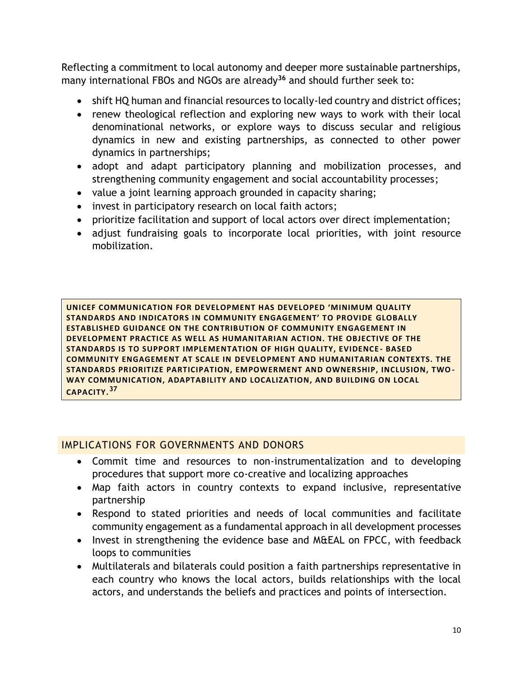Reflecting a commitment to local autonomy and deeper more sustainable partnerships, many international FBOs and NGOs are already**<sup>36</sup>** and should further seek to:

- shift HQ human and financial resources to locally-led country and district offices;
- renew theological reflection and exploring new ways to work with their local denominational networks, or explore ways to discuss secular and religious dynamics in new and existing partnerships, as connected to other power dynamics in partnerships;
- adopt and adapt participatory planning and mobilization processes, and strengthening community engagement and social accountability processes;
- value a joint learning approach grounded in capacity sharing;
- invest in participatory research on local faith actors;
- prioritize facilitation and support of local actors over direct implementation;
- adjust fundraising goals to incorporate local priorities, with joint resource mobilization.

**UNICEF COMMUNICATION FOR DEVELOPMENT HAS DEVELOPED 'MINIMUM QUALITY STANDARDS AND INDICATORS IN COMMUNITY ENGAGEMENT' TO PROVIDE GLOBALLY ESTABLISHED GUIDANCE ON THE CONTRIBUTION OF COMMUNITY ENGAGEMENT IN DEVELOPMENT PRACTICE AS WELL AS HUMANITARIAN ACTION. THE OBJECTIVE OF THE STANDARDS IS TO SUPPORT IMPLEMENTATION OF HIGH QUALITY, EVIDENCE - BASED COMMUNITY ENGAGEMENT AT SCALE IN DEVELOPMENT AND HUMANITARIAN CONTEXTS. THE STANDARDS PRIORITIZE PARTICIPATION, EMPOWERMENT AND OWNERSHIP, INCLUSION, TWO - WAY COMMUNICATION, ADAPTABILITY AND LOCALIZATION, AND BUILDING ON LOCAL CAPACITY.<sup>37</sup>**

## IMPLICATIONS FOR GOVERNMENTS AND DONORS

- Commit time and resources to non-instrumentalization and to developing procedures that support more co-creative and localizing approaches
- Map faith actors in country contexts to expand inclusive, representative partnership
- Respond to stated priorities and needs of local communities and facilitate community engagement as a fundamental approach in all development processes
- Invest in strengthening the evidence base and M&EAL on FPCC, with feedback loops to communities
- Multilaterals and bilaterals could position a faith partnerships representative in each country who knows the local actors, builds relationships with the local actors, and understands the beliefs and practices and points of intersection.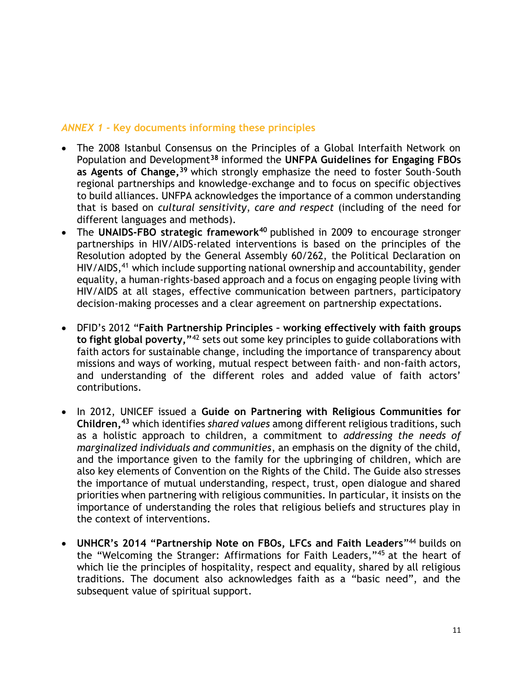#### *ANNEX 1 -* **Key documents informing these principles**

- The 2008 Istanbul Consensus on the Principles of a Global Interfaith Network on Population and Development**<sup>38</sup>** informed the **UNFPA Guidelines for Engaging FBOs as Agents of Change,<sup>39</sup>** which strongly emphasize the need to foster South-South regional partnerships and knowledge-exchange and to focus on specific objectives to build alliances. UNFPA acknowledges the importance of a common understanding that is based on *cultural sensitivity*, *care and respect* (including of the need for different languages and methods).
- The **UNAIDS-FBO strategic framework<sup>40</sup>** published in 2009 to encourage stronger partnerships in HIV/AIDS-related interventions is based on the principles of the Resolution adopted by the General Assembly 60/262, the Political Declaration on HIV/AIDS,<sup>41</sup> which include supporting national ownership and accountability, gender equality, a human-rights-based approach and a focus on engaging people living with HIV/AIDS at all stages, effective communication between partners, participatory decision-making processes and a clear agreement on partnership expectations.
- DFID's 2012 "**Faith Partnership Principles – working effectively with faith groups to fight global poverty,"**<sup>42</sup> sets out some key principles to guide collaborations with faith actors for sustainable change, including the importance of transparency about missions and ways of working, mutual respect between faith- and non-faith actors, and understanding of the different roles and added value of faith actors' contributions.
- In 2012, UNICEF issued a **Guide on Partnering with Religious Communities for Children,<sup>43</sup>** which identifies *shared values* among different religious traditions, such as a holistic approach to children, a commitment to *addressing the needs of marginalized individuals and communities*, an emphasis on the dignity of the child, and the importance given to the family for the upbringing of children, which are also key elements of Convention on the Rights of the Child. The Guide also stresses the importance of mutual understanding, respect, trust, open dialogue and shared priorities when partnering with religious communities. In particular, it insists on the importance of understanding the roles that religious beliefs and structures play in the context of interventions.
- **UNHCR's 2014 "Partnership Note on FBOs, LFCs and Faith Leaders**" <sup>44</sup> builds on the "Welcoming the Stranger: Affirmations for Faith Leaders,"<sup>45</sup> at the heart of which lie the principles of hospitality, respect and equality, shared by all religious traditions. The document also acknowledges faith as a "basic need", and the subsequent value of spiritual support.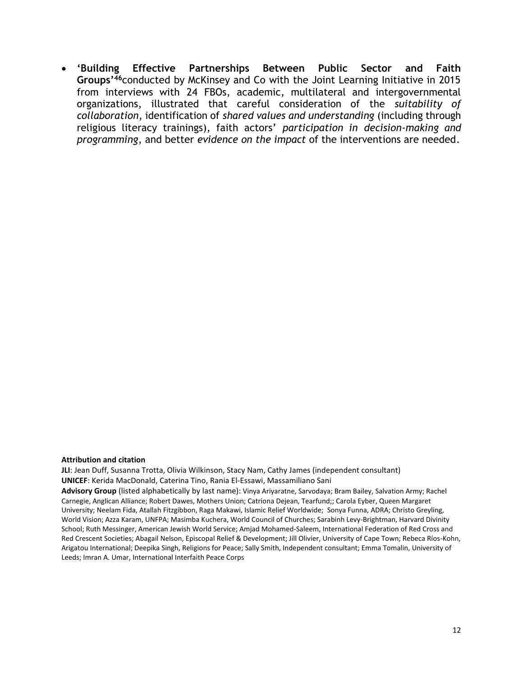• **'Building Effective Partnerships Between Public Sector and Faith Groups'<sup>46</sup>**conducted by McKinsey and Co with the Joint Learning Initiative in 2015 from interviews with 24 FBOs, academic, multilateral and intergovernmental organizations, illustrated that careful consideration of the *suitability of collaboration*, identification of *shared values and understanding* (including through religious literacy trainings), faith actors' *participation in decision-making and programming*, and better *evidence on the impact* of the interventions are needed.

#### **Attribution and citation**

**JLI**: Jean Duff, Susanna Trotta, Olivia Wilkinson, Stacy Nam, Cathy James (independent consultant) **UNICEF**: Kerida MacDonald, Caterina Tino, Rania El-Essawi, Massamiliano Sani

**Advisory Group** (listed alphabetically by last name): Vinya Ariyaratne, Sarvodaya; Bram Bailey, Salvation Army; Rachel Carnegie, Anglican Alliance; Robert Dawes, Mothers Union; Catriona Dejean, Tearfund;; Carola Eyber, Queen Margaret University; Neelam Fida, Atallah Fitzgibbon, Raga Makawi, Islamic Relief Worldwide; Sonya Funna, ADRA; Christo Greyling, World Vision; Azza Karam, UNFPA; Masimba Kuchera, World Council of Churches; Sarabinh Levy-Brightman, Harvard Divinity School; Ruth Messinger, American Jewish World Service; Amjad Mohamed-Saleem, International Federation of Red Cross and Red Crescent Societies; Abagail Nelson, Episcopal Relief & Development; Jill Olivier, University of Cape Town; Rebeca Ríos-Kohn, Arigatou International; Deepika Singh, Religions for Peace; Sally Smith, Independent consultant; Emma Tomalin, University of Leeds; Imran A. Umar, International Interfaith Peace Corps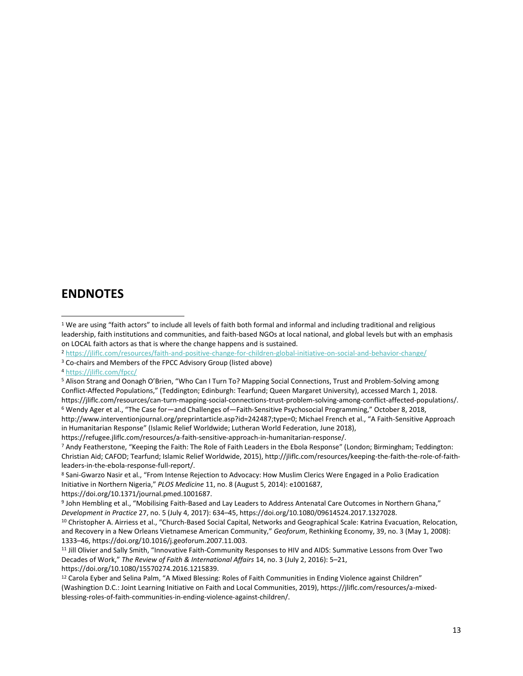## **ENDNOTES**

- <sup>2</sup> <https://jliflc.com/resources/faith-and-positive-change-for-children-global-initiative-on-social-and-behavior-change/>
- <sup>3</sup> Co-chairs and Members of the FPCC Advisory Group (listed above)

<sup>4</sup> <https://jliflc.com/fpcc/>

<sup>5</sup> Alison Strang and Oonagh O'Brien, "Who Can I Turn To? Mapping Social Connections, Trust and Problem-Solving among Conflict-Affected Populations," (Teddington; Edinburgh: Tearfund; Queen Margaret University), accessed March 1, 2018. https://jliflc.com/resources/can-turn-mapping-social-connections-trust-problem-solving-among-conflict-affected-populations/.

<sup>6</sup> Wendy Ager et al., "The Case for—and Challenges of—Faith-Sensitive Psychosocial Programming," October 8, 2018, http://www.interventionjournal.org/preprintarticle.asp?id=242487;type=0; Michael French et al., "A Faith-Sensitive Approach in Humanitarian Response" (Islamic Relief Worldwide; Lutheran World Federation, June 2018),

https://refugee.jliflc.com/resources/a-faith-sensitive-approach-in-humanitarian-response/.

<sup>7</sup> Andy Featherstone, "Keeping the Faith: The Role of Faith Leaders in the Ebola Response" (London; Birmingham; Teddington: Christian Aid; CAFOD; Tearfund; Islamic Relief Worldwide, 2015), http://jliflc.com/resources/keeping-the-faith-the-role-of-faithleaders-in-the-ebola-response-full-report/.

<sup>8</sup> Sani-Gwarzo Nasir et al., "From Intense Rejection to Advocacy: How Muslim Clerics Were Engaged in a Polio Eradication Initiative in Northern Nigeria," *PLOS Medicine* 11, no. 8 (August 5, 2014): e1001687, https://doi.org/10.1371/journal.pmed.1001687.

9 John Hembling et al., "Mobilising Faith-Based and Lay Leaders to Address Antenatal Care Outcomes in Northern Ghana," *Development in Practice* 27, no. 5 (July 4, 2017): 634–45, https://doi.org/10.1080/09614524.2017.1327028.

<sup>10</sup> Christopher A. Airriess et al., "Church-Based Social Capital, Networks and Geographical Scale: Katrina Evacuation, Relocation, and Recovery in a New Orleans Vietnamese American Community," *Geoforum*, Rethinking Economy, 39, no. 3 (May 1, 2008): 1333–46, https://doi.org/10.1016/j.geoforum.2007.11.003.

<sup>11</sup> Jill Olivier and Sally Smith, "Innovative Faith-Community Responses to HIV and AIDS: Summative Lessons from Over Two Decades of Work," *The Review of Faith & International Affairs* 14, no. 3 (July 2, 2016): 5–21,

https://doi.org/10.1080/15570274.2016.1215839.

<sup>12</sup> Carola Eyber and Selina Palm, "A Mixed Blessing: Roles of Faith Communities in Ending Violence against Children" (Washingtion D.C.: Joint Learning Initiative on Faith and Local Communities, 2019), https://jliflc.com/resources/a-mixedblessing-roles-of-faith-communities-in-ending-violence-against-children/.

<sup>1</sup> We are using "faith actors" to include all levels of faith both formal and informal and including traditional and religious leadership, faith institutions and communities, and faith-based NGOs at local national, and global levels but with an emphasis on LOCAL faith actors as that is where the change happens and is sustained.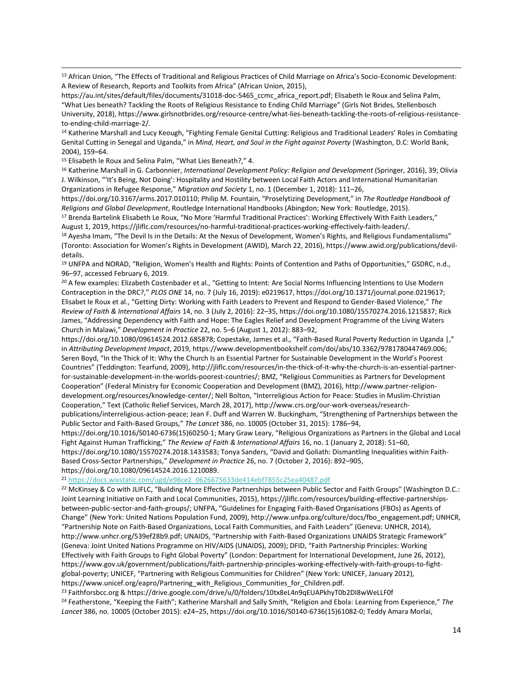<sup>13</sup> African Union, "The Effects of Traditional and Religious Practices of Child Marriage on Africa's Socio-Economic Development: A Review of Research, Reports and Toolkits from Africa" (African Union, 2015),

https://au.int/sites/default/files/documents/31018-doc-5465 ccmc africa report.pdf; Elisabeth le Roux and Selina Palm, "What Lies beneath? Tackling the Roots of Religious Resistance to Ending Child Marriage" (Girls Not Brides, Stellenbosch University, 2018), https://www.girlsnotbrides.org/resource-centre/what-lies-beneath-tackling-the-roots-of-religious-resistanceto-ending-child-marriage-2/.

<sup>14</sup> Katherine Marshall and Lucy Keough, "Fighting Female Genital Cutting: Religious and Traditional Leaders' Roles in Combating Genital Cutting in Senegal and Uganda," in *Mind, Heart, and Soul in the Fight against Poverty* (Washington, D.C: World Bank, 2004), 159–64.

<sup>15</sup> Elisabeth le Roux and Selina Palm, "What Lies Beneath?," 4.

<sup>16</sup> Katherine Marshall in G. Carbonnier, *International Development Policy: Religion and Development* (Springer, 2016), 39; Olivia J. Wilkinson, "'It's Being, Not Doing': Hospitality and Hostility between Local Faith Actors and International Humanitarian Organizations in Refugee Response," *Migration and Society* 1, no. 1 (December 1, 2018): 111–26,

https://doi.org/10.3167/arms.2017.010110; Philip M. Fountain, "Proselytizing Development," in *The Routledge Handbook of Religions and Global Development*, Routledge International Handbooks (Abingdon; New York: Routledge, 2015).

<sup>17</sup> Brenda Bartelink Elisabeth Le Roux, "No More 'Harmful Traditional Practices': Working Effectively With Faith Leaders," August 1, 2019, https://jliflc.com/resources/no-harmful-traditional-practices-working-effectively-faith-leaders/.

<sup>18</sup> Ayesha Imam, "The Devil Is in the Details: At the Nexus of Development, Women's Rights, and Religious Fundamentalisms" (Toronto: Association for Women's Rights in Development (AWID), March 22, 2016), https://www.awid.org/publications/devildetails.

<sup>19</sup> UNFPA and NORAD, "Religion, Women's Health and Rights: Points of Contention and Paths of Opportunities," GSDRC, n.d., 96–97, accessed February 6, 2019.

<sup>20</sup> A few examples: Elizabeth Costenbader et al., "Getting to Intent: Are Social Norms Influencing Intentions to Use Modern Contraception in the DRC?," *PLOS ONE* 14, no. 7 (July 16, 2019): e0219617, https://doi.org/10.1371/journal.pone.0219617; Elisabet le Roux et al., "Getting Dirty: Working with Faith Leaders to Prevent and Respond to Gender-Based Violence," *The Review of Faith & International Affairs* 14, no. 3 (July 2, 2016): 22–35, https://doi.org/10.1080/15570274.2016.1215837; Rick James, "Addressing Dependency with Faith and Hope: The Eagles Relief and Development Programme of the Living Waters Church in Malawi," *Development in Practice* 22, no. 5–6 (August 1, 2012): 883–92,

https://doi.org/10.1080/09614524.2012.685878; Copestake, James et al., "Faith-Based Rural Poverty Reduction in Uganda |," in *Attributing Development Impact*, 2019, https://www.developmentbookshelf.com/doi/abs/10.3362/9781780447469.006; Seren Boyd, "In the Thick of It: Why the Church Is an Essential Partner for Sustainable Development in the World's Poorest Countries" (Teddington: Tearfund, 2009), http://jliflc.com/resources/in-the-thick-of-it-why-the-church-is-an-essential-partnerfor-sustainable-development-in-the-worlds-poorest-countries/; BMZ, "Religious Communities as Partners for Development Cooperation" (Federal Ministry for Economic Cooperation and Development (BMZ), 2016), http://www.partner-religiondevelopment.org/resources/knowledge-center/; Nell Bolton, "Interreligious Action for Peace: Studies in Muslim-Christian Cooperation," Text (Catholic Relief Services, March 28, 2017), http://www.crs.org/our-work-overseas/researchpublications/interreligious-action-peace; Jean F. Duff and Warren W. Buckingham, "Strengthening of Partnerships between the Public Sector and Faith-Based Groups," *The Lancet* 386, no. 10005 (October 31, 2015): 1786–94,

https://doi.org/10.1016/S0140-6736(15)60250-1; Mary Graw Leary, "Religious Organizations as Partners in the Global and Local Fight Against Human Trafficking," *The Review of Faith & International Affairs* 16, no. 1 (January 2, 2018): 51–60, https://doi.org/10.1080/15570274.2018.1433583; Tonya Sanders, "David and Goliath: Dismantling Inequalities within Faith-

Based Cross-Sector Partnerships," *Development in Practice* 26, no. 7 (October 2, 2016): 892–905, https://doi.org/10.1080/09614524.2016.1210089.

<sup>21</sup> [https://docs.wixstatic.com/ugd/e98ce2\\_0626675633de414ebf7855c25ea40487.pdf](https://docs.wixstatic.com/ugd/e98ce2_0626675633de414ebf7855c25ea40487.pdf)

<sup>22</sup> McKinsey & Co with JLIFLC, "Building More Effective Partnerships between Public Sector and Faith Groups" (Washington D.C.: Joint Learning Initiative on Faith and Local Communities, 2015), https://jliflc.com/resources/building-effective-partnershipsbetween-public-sector-and-faith-groups/; UNFPA, "Guidelines for Engaging Faith-Based Organisations (FBOs) as Agents of Change" (New York: United Nations Population Fund, 2009), http://www.unfpa.org/culture/docs/fbo\_engagement.pdf; UNHCR, "Partnership Note on Faith-Based Organizations, Local Faith Communities, and Faith Leaders" (Geneva: UNHCR, 2014), http://www.unhcr.org/539ef28b9.pdf; UNAIDS, "Partnership with Faith-Based Organizations UNAIDS Strategic Framework" (Geneva: Joint United Nations Programme on HIV/AIDS (UNAIDS), 2009); DFID, "Faith Partnership Principles: Working Effectively with Faith Groups to Fight Global Poverty" (London: Department for International Development, June 26, 2012), https://www.gov.uk/government/publications/faith-partnership-principles-working-effectively-with-faith-groups-to-fightglobal-poverty; UNICEF, "Partnering with Religious Communities for Children" (New York: UNICEF, January 2012), https://www.unicef.org/eapro/Partnering\_with\_Religious\_Communities\_for\_Children.pdf.

<sup>23</sup> Faithforsbcc.org & https://drive.google.com/drive/u/0/folders/10tx8eL4n9qEUAPkhyT0b2DI8wWeLLF0f <sup>24</sup> Featherstone, "Keeping the Faith"; Katherine Marshall and Sally Smith, "Religion and Ebola: Learning from Experience," *The Lancet* 386, no. 10005 (October 2015): e24–25, https://doi.org/10.1016/S0140-6736(15)61082-0; Teddy Amara Morlai,